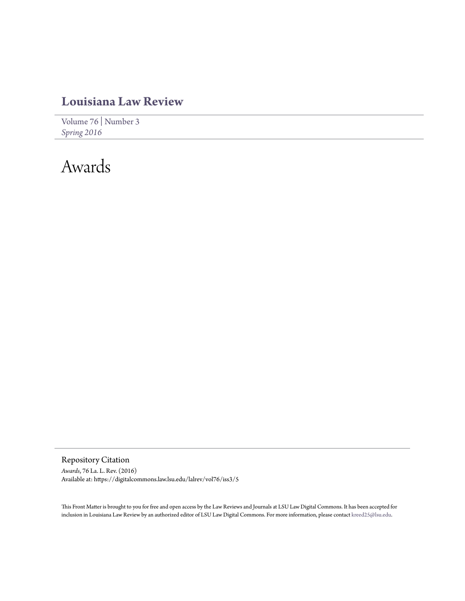## **[Louisiana Law Review](https://digitalcommons.law.lsu.edu/lalrev)**

[Volume 76](https://digitalcommons.law.lsu.edu/lalrev/vol76) | [Number 3](https://digitalcommons.law.lsu.edu/lalrev/vol76/iss3) *[Spring 2016](https://digitalcommons.law.lsu.edu/lalrev/vol76/iss3)*

# Awards

Repository Citation *Awards*, 76 La. L. Rev. (2016) Available at: https://digitalcommons.law.lsu.edu/lalrev/vol76/iss3/5

This Front Matter is brought to you for free and open access by the Law Reviews and Journals at LSU Law Digital Commons. It has been accepted for inclusion in Louisiana Law Review by an authorized editor of LSU Law Digital Commons. For more information, please contact [kreed25@lsu.edu](mailto:kreed25@lsu.edu).